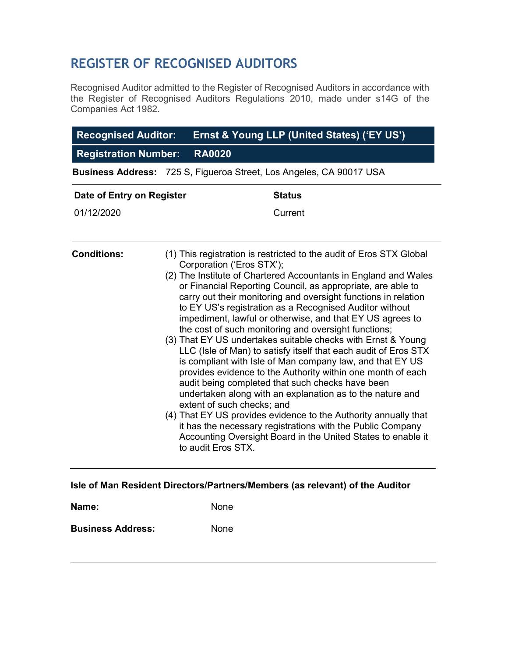## REGISTER OF RECOGNISED AUDITORS

 $\overline{a}$ 

Recognised Auditor admitted to the Register of Recognised Auditors in accordance with the Register of Recognised Auditors Regulations 2010, made under s14G of the Companies Act 1982.

| <b>Recognised Auditor:</b>  |                                                                                                                                                                                                                                                                                                                                                                                                                                                                                                                                                                                                                                                                                                                                                                                                                                                                                                                                                                                                                                                                                                                           | Ernst & Young LLP (United States) ('EY US')                                  |  |
|-----------------------------|---------------------------------------------------------------------------------------------------------------------------------------------------------------------------------------------------------------------------------------------------------------------------------------------------------------------------------------------------------------------------------------------------------------------------------------------------------------------------------------------------------------------------------------------------------------------------------------------------------------------------------------------------------------------------------------------------------------------------------------------------------------------------------------------------------------------------------------------------------------------------------------------------------------------------------------------------------------------------------------------------------------------------------------------------------------------------------------------------------------------------|------------------------------------------------------------------------------|--|
| <b>Registration Number:</b> |                                                                                                                                                                                                                                                                                                                                                                                                                                                                                                                                                                                                                                                                                                                                                                                                                                                                                                                                                                                                                                                                                                                           | <b>RA0020</b>                                                                |  |
|                             |                                                                                                                                                                                                                                                                                                                                                                                                                                                                                                                                                                                                                                                                                                                                                                                                                                                                                                                                                                                                                                                                                                                           | Business Address: 725 S, Figueroa Street, Los Angeles, CA 90017 USA          |  |
| Date of Entry on Register   |                                                                                                                                                                                                                                                                                                                                                                                                                                                                                                                                                                                                                                                                                                                                                                                                                                                                                                                                                                                                                                                                                                                           | <b>Status</b>                                                                |  |
| 01/12/2020                  |                                                                                                                                                                                                                                                                                                                                                                                                                                                                                                                                                                                                                                                                                                                                                                                                                                                                                                                                                                                                                                                                                                                           | Current                                                                      |  |
| <b>Conditions:</b>          | (1) This registration is restricted to the audit of Eros STX Global<br>Corporation ('Eros STX');<br>(2) The Institute of Chartered Accountants in England and Wales<br>or Financial Reporting Council, as appropriate, are able to<br>carry out their monitoring and oversight functions in relation<br>to EY US's registration as a Recognised Auditor without<br>impediment, lawful or otherwise, and that EY US agrees to<br>the cost of such monitoring and oversight functions;<br>(3) That EY US undertakes suitable checks with Ernst & Young<br>LLC (Isle of Man) to satisfy itself that each audit of Eros STX<br>is compliant with Isle of Man company law, and that EY US<br>provides evidence to the Authority within one month of each<br>audit being completed that such checks have been<br>undertaken along with an explanation as to the nature and<br>extent of such checks; and<br>(4) That EY US provides evidence to the Authority annually that<br>it has the necessary registrations with the Public Company<br>Accounting Oversight Board in the United States to enable it<br>to audit Eros STX. |                                                                              |  |
|                             |                                                                                                                                                                                                                                                                                                                                                                                                                                                                                                                                                                                                                                                                                                                                                                                                                                                                                                                                                                                                                                                                                                                           | Isle of Man Resident Directors/Partners/Members (as relevant) of the Auditor |  |
| Name:                       |                                                                                                                                                                                                                                                                                                                                                                                                                                                                                                                                                                                                                                                                                                                                                                                                                                                                                                                                                                                                                                                                                                                           | None                                                                         |  |
| <b>Business Address:</b>    |                                                                                                                                                                                                                                                                                                                                                                                                                                                                                                                                                                                                                                                                                                                                                                                                                                                                                                                                                                                                                                                                                                                           | None                                                                         |  |